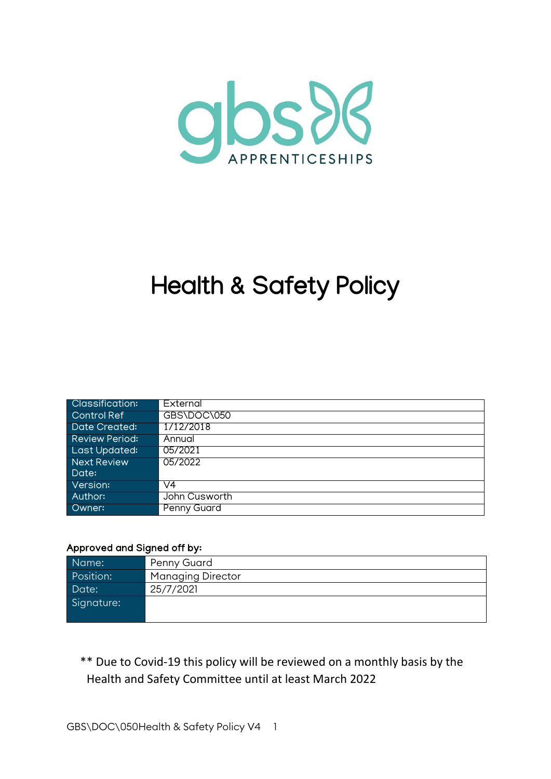

# **Health & Safety Policy**

| <b>Classification:</b> | External           |
|------------------------|--------------------|
| Control Ref            | GBS\DOC\050        |
| Date Created:          | 1/12/2018          |
| <b>Review Period:</b>  | Annual             |
| Last Updated:          | 05/2021            |
| Next Review            | 05/2022            |
| Date:                  |                    |
| Version:               | V4                 |
| Author:                | John Cusworth      |
| Owner:                 | <b>Penny Guard</b> |

#### Approved and Signed off by:

| Name:      | Penny Guard              |
|------------|--------------------------|
| Position:  | <b>Managing Director</b> |
| Date:      | 25/7/2021                |
| Signature: |                          |
|            |                          |

\*\* Due to Covid-19 this policy will be reviewed on a monthly basis by the Health and Safety Committee until at least March 2022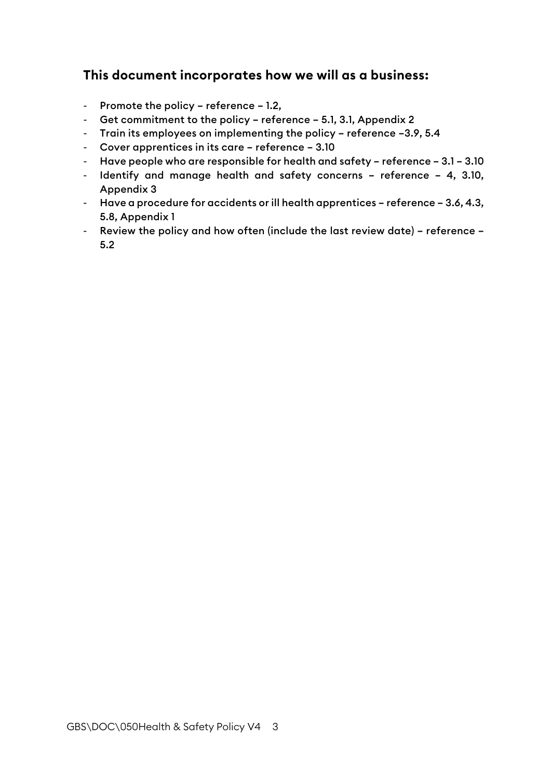# **This document incorporates how we will as a business:**

- Promote the policy reference 1.2,
- Get commitment to the policy reference 5.1, 3.1, Appendix 2
- Train its employees on implementing the policy reference –3.9, 5.4
- Cover apprentices in its care reference 3.10
- Have people who are responsible for health and safety reference 3.1 3.10
- Identify and manage health and safety concerns reference 4, 3.10, Appendix 3
- Have a procedure for accidents or ill health apprentices reference 3.6, 4.3, 5.8, Appendix 1
- Review the policy and how often (include the last review date) reference 5.2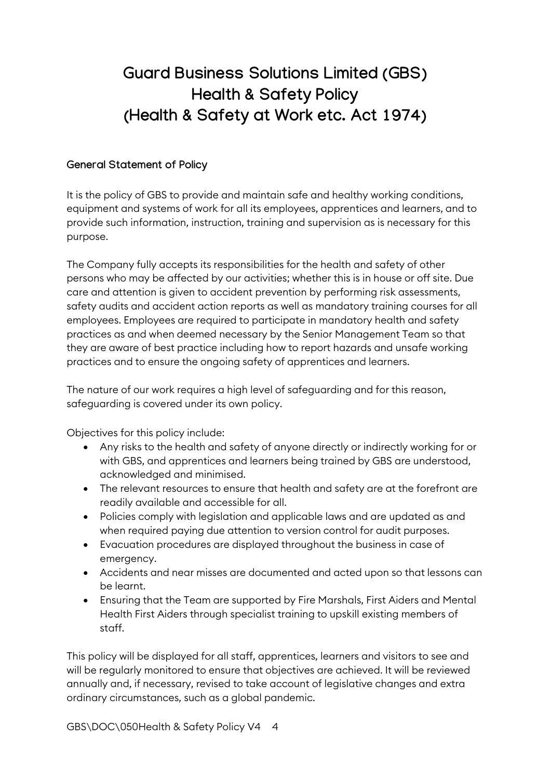# **Guard Business Solutions Limited (GBS) Health & Safety Policy (Health & Safety at Work etc. Act 1974)**

#### **General Statement of Policy**

It is the policy of GBS to provide and maintain safe and healthy working conditions, equipment and systems of work for all its employees, apprentices and learners, and to provide such information, instruction, training and supervision as is necessary for this purpose.

The Company fully accepts its responsibilities for the health and safety of other persons who may be affected by our activities; whether this is in house or off site. Due care and attention is given to accident prevention by performing risk assessments, safety audits and accident action reports as well as mandatory training courses for all employees. Employees are required to participate in mandatory health and safety practices as and when deemed necessary by the Senior Management Team so that they are aware of best practice including how to report hazards and unsafe working practices and to ensure the ongoing safety of apprentices and learners.

The nature of our work requires a high level of safeguarding and for this reason, safeguarding is covered under its own policy.

Objectives for this policy include:

- Any risks to the health and safety of anyone directly or indirectly working for or with GBS, and apprentices and learners being trained by GBS are understood, acknowledged and minimised.
- The relevant resources to ensure that health and safety are at the forefront are readily available and accessible for all.
- Policies comply with legislation and applicable laws and are updated as and when required paying due attention to version control for audit purposes.
- Evacuation procedures are displayed throughout the business in case of emergency.
- Accidents and near misses are documented and acted upon so that lessons can be learnt.
- Ensuring that the Team are supported by Fire Marshals, First Aiders and Mental Health First Aiders through specialist training to upskill existing members of staff.

This policy will be displayed for all staff, apprentices, learners and visitors to see and will be regularly monitored to ensure that objectives are achieved. It will be reviewed annually and, if necessary, revised to take account of legislative changes and extra ordinary circumstances, such as a global pandemic.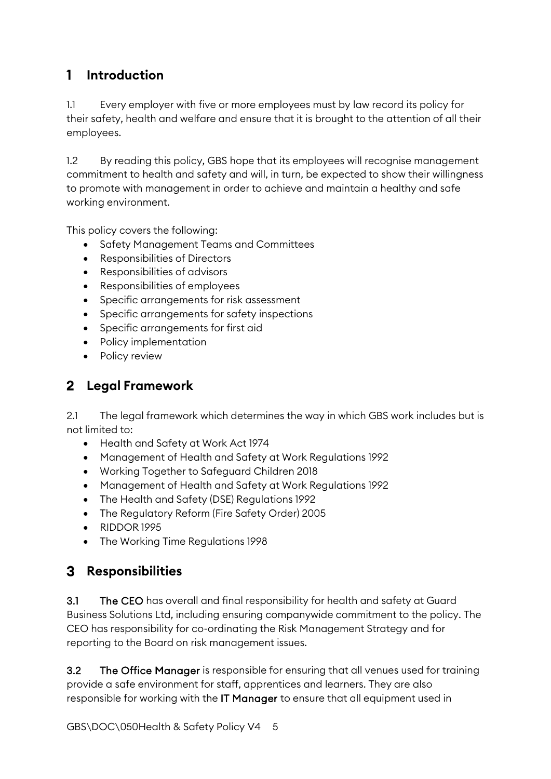#### $\mathbf{1}$ **Introduction**

1.1 Every employer with five or more employees must by law record its policy for their safety, health and welfare and ensure that it is brought to the attention of all their employees.

1.2 By reading this policy, GBS hope that its employees will recognise management commitment to health and safety and will, in turn, be expected to show their willingness to promote with management in order to achieve and maintain a healthy and safe working environment.

This policy covers the following:

- Safety Management Teams and Committees
- Responsibilities of Directors
- Responsibilities of advisors
- Responsibilities of employees
- Specific arrangements for risk assessment
- Specific arrangements for safety inspections
- Specific arrangements for first aid
- Policy implementation
- Policy review

# **Legal Framework**

2.1 The legal framework which determines the way in which GBS work includes but is not limited to:

- Health and Safety at Work Act 1974
- Management of Health and Safety at Work Regulations 1992
- Working Together to Safeguard Children 2018
- Management of Health and Safety at Work Regulations 1992
- The Health and Safety (DSE) Regulations 1992
- The Regulatory Reform (Fire Safety Order) 2005
- RIDDOR 1995
- The Working Time Regulations 1998

# **Responsibilities**

3.1 The CEO has overall and final responsibility for health and safety at Guard Business Solutions Ltd, including ensuring companywide commitment to the policy. The CEO has responsibility for co-ordinating the Risk Management Strategy and for reporting to the Board on risk management issues.

3.2 The Office Manager is responsible for ensuring that all venues used for training provide a safe environment for staff, apprentices and learners. They are also responsible for working with the IT Manager to ensure that all equipment used in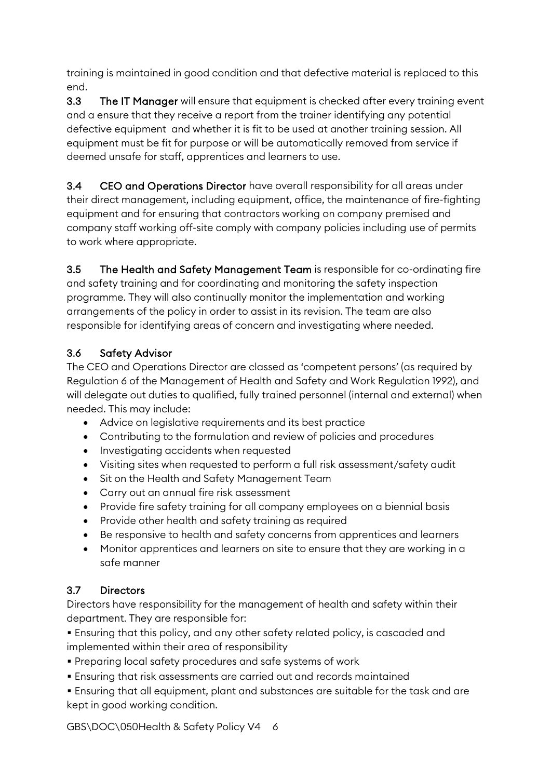training is maintained in good condition and that defective material is replaced to this end.

3.3 The IT Manager will ensure that equipment is checked after every training event and a ensure that they receive a report from the trainer identifying any potential defective equipment and whether it is fit to be used at another training session. All equipment must be fit for purpose or will be automatically removed from service if deemed unsafe for staff, apprentices and learners to use.

3.4 CEO and Operations Director have overall responsibility for all areas under their direct management, including equipment, office, the maintenance of fire-fighting equipment and for ensuring that contractors working on company premised and company staff working off-site comply with company policies including use of permits to work where appropriate.

3.5 The Health and Safety Management Team is responsible for co-ordinating fire and safety training and for coordinating and monitoring the safety inspection programme. They will also continually monitor the implementation and working arrangements of the policy in order to assist in its revision. The team are also responsible for identifying areas of concern and investigating where needed.

#### 3.6 Safety Advisor

The CEO and Operations Director are classed as 'competent persons' (as required by Regulation 6 of the Management of Health and Safety and Work Regulation 1992), and will delegate out duties to qualified, fully trained personnel (internal and external) when needed. This may include:

- Advice on legislative requirements and its best practice
- Contributing to the formulation and review of policies and procedures
- Investigating accidents when requested
- Visiting sites when requested to perform a full risk assessment/safety audit
- Sit on the Health and Safety Management Team
- Carry out an annual fire risk assessment
- Provide fire safety training for all company employees on a biennial basis
- Provide other health and safety training as required
- Be responsive to health and safety concerns from apprentices and learners
- Monitor apprentices and learners on site to ensure that they are working in a safe manner

# 3.7 Directors

Directors have responsibility for the management of health and safety within their department. They are responsible for:

▪ Ensuring that this policy, and any other safety related policy, is cascaded and implemented within their area of responsibility

- Preparing local safety procedures and safe systems of work
- **Ensuring that risk assessments are carried out and records maintained**
- **Ensuring that all equipment, plant and substances are suitable for the task and are** kept in good working condition.

GBS\DOC\050Health & Safety Policy V4 6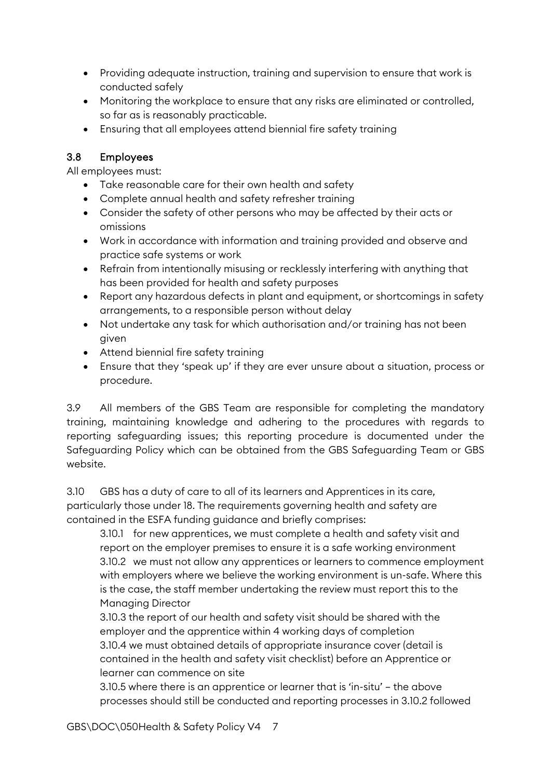- Providing adequate instruction, training and supervision to ensure that work is conducted safely
- Monitoring the workplace to ensure that any risks are eliminated or controlled, so far as is reasonably practicable.
- Ensuring that all employees attend biennial fire safety training

#### 3.8 Employees

All employees must:

- Take reasonable care for their own health and safety
- Complete annual health and safety refresher training
- Consider the safety of other persons who may be affected by their acts or omissions
- Work in accordance with information and training provided and observe and practice safe systems or work
- Refrain from intentionally misusing or recklessly interfering with anything that has been provided for health and safety purposes
- Report any hazardous defects in plant and equipment, or shortcomings in safety arrangements, to a responsible person without delay
- Not undertake any task for which authorisation and/or training has not been given
- Attend biennial fire safety training
- Ensure that they 'speak up' if they are ever unsure about a situation, process or procedure.

3.9 All members of the GBS Team are responsible for completing the mandatory training, maintaining knowledge and adhering to the procedures with regards to reporting safeguarding issues; this reporting procedure is documented under the Safeguarding Policy which can be obtained from the GBS Safeguarding Team or GBS website.

3.10 GBS has a duty of care to all of its learners and Apprentices in its care, particularly those under 18. The requirements governing health and safety are contained in the ESFA funding guidance and briefly comprises:

3.10.1 for new apprentices, we must complete a health and safety visit and report on the employer premises to ensure it is a safe working environment 3.10.2 we must not allow any apprentices or learners to commence employment with employers where we believe the working environment is un-safe. Where this is the case, the staff member undertaking the review must report this to the Managing Director

3.10.3 the report of our health and safety visit should be shared with the employer and the apprentice within 4 working days of completion 3.10.4 we must obtained details of appropriate insurance cover (detail is contained in the health and safety visit checklist) before an Apprentice or learner can commence on site

3.10.5 where there is an apprentice or learner that is 'in-situ' – the above processes should still be conducted and reporting processes in 3.10.2 followed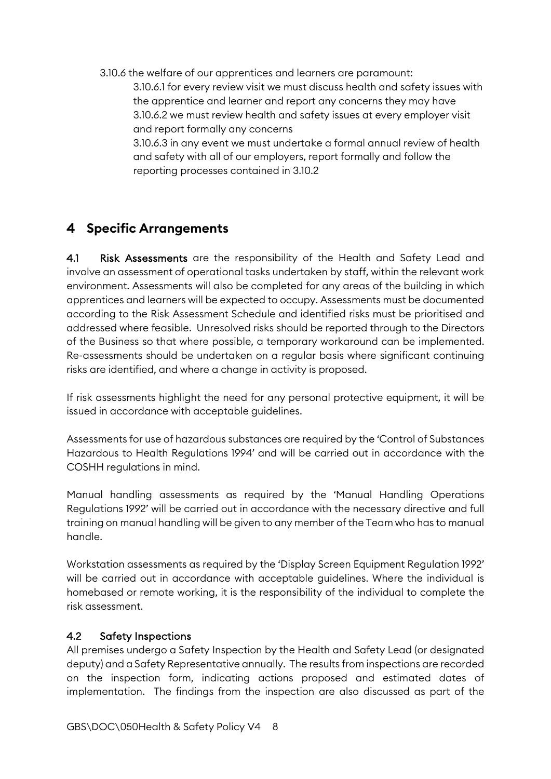3.10.6 the welfare of our apprentices and learners are paramount: 3.10.6.1 for every review visit we must discuss health and safety issues with the apprentice and learner and report any concerns they may have 3.10.6.2 we must review health and safety issues at every employer visit and report formally any concerns 3.10.6.3 in any event we must undertake a formal annual review of health

and safety with all of our employers, report formally and follow the reporting processes contained in 3.10.2

# **Specific Arrangements**

4.1 Risk Assessments are the responsibility of the Health and Safety Lead and involve an assessment of operational tasks undertaken by staff, within the relevant work environment. Assessments will also be completed for any areas of the building in which apprentices and learners will be expected to occupy. Assessments must be documented according to the Risk Assessment Schedule and identified risks must be prioritised and addressed where feasible. Unresolved risks should be reported through to the Directors of the Business so that where possible, a temporary workaround can be implemented. Re-assessments should be undertaken on a regular basis where significant continuing risks are identified, and where a change in activity is proposed.

If risk assessments highlight the need for any personal protective equipment, it will be issued in accordance with acceptable guidelines.

Assessments for use of hazardous substances are required by the 'Control of Substances Hazardous to Health Regulations 1994' and will be carried out in accordance with the COSHH regulations in mind.

Manual handling assessments as required by the 'Manual Handling Operations Regulations 1992' will be carried out in accordance with the necessary directive and full training on manual handling will be given to any member of the Team who has to manual handle.

Workstation assessments as required by the 'Display Screen Equipment Regulation 1992' will be carried out in accordance with acceptable guidelines. Where the individual is homebased or remote working, it is the responsibility of the individual to complete the risk assessment.

#### 4.2 Safety Inspections

All premises undergo a Safety Inspection by the Health and Safety Lead (or designated deputy) and a Safety Representative annually. The results from inspections are recorded on the inspection form, indicating actions proposed and estimated dates of implementation. The findings from the inspection are also discussed as part of the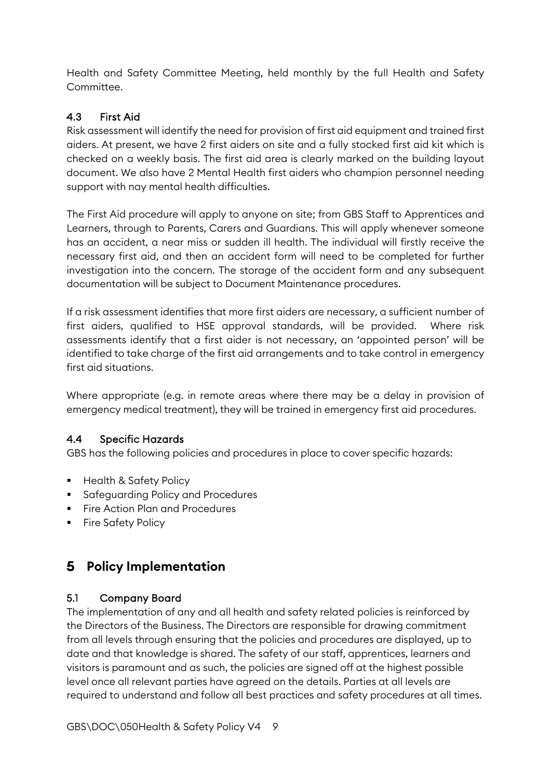Health and Safety Committee Meeting, held monthly by the full Health and Safety Committee.

#### 4.3 First Aid

Risk assessment will identify the need for provision of first aid equipment and trained first aiders. At present, we have 2 first aiders on site and a fully stocked first aid kit which is checked on a weekly basis. The first aid area is clearly marked on the building layout document. We also have 2 Mental Health first aiders who champion personnel needing support with nay mental health difficulties.

The First Aid procedure will apply to anyone on site; from GBS Staff to Apprentices and Learners, through to Parents, Carers and Guardians. This will apply whenever someone has an accident, a near miss or sudden ill health. The individual will firstly receive the necessary first aid, and then an accident form will need to be completed for further investigation into the concern. The storage of the accident form and any subsequent documentation will be subject to Document Maintenance procedures.

If a risk assessment identifies that more first aiders are necessary, a sufficient number of first aiders, qualified to HSE approval standards, will be provided. Where risk assessments identify that a first aider is not necessary, an 'appointed person' will be identified to take charge of the first aid arrangements and to take control in emergency first aid situations.

Where appropriate (e.g. in remote areas where there may be a delay in provision of emergency medical treatment), they will be trained in emergency first aid procedures.

#### 4.4 Specific Hazards

GBS has the following policies and procedures in place to cover specific hazards:

- **Health & Safety Policy**
- **Safeguarding Policy and Procedures**
- **Fire Action Plan and Procedures**
- **Fire Safety Policy**

# **Policy Implementation**

#### 5.1 Company Board

The implementation of any and all health and safety related policies is reinforced by the Directors of the Business. The Directors are responsible for drawing commitment from all levels through ensuring that the policies and procedures are displayed, up to date and that knowledge is shared. The safety of our staff, apprentices, learners and visitors is paramount and as such, the policies are signed off at the highest possible level once all relevant parties have agreed on the details. Parties at all levels are required to understand and follow all best practices and safety procedures at all times.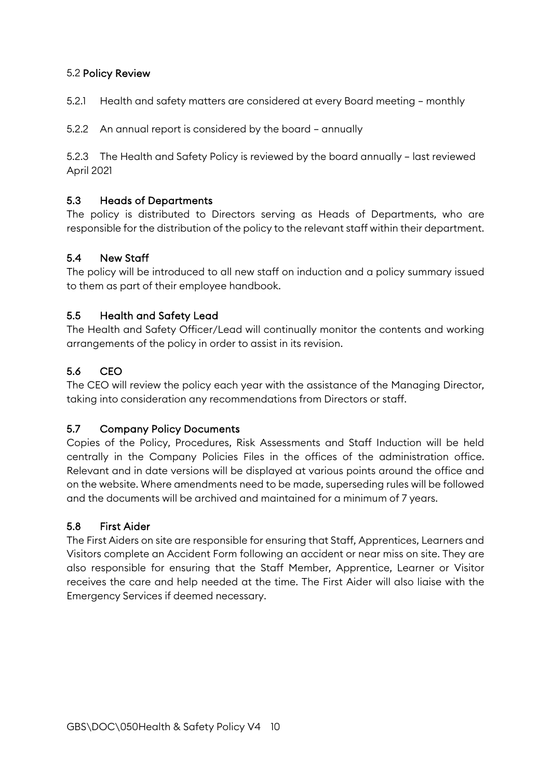#### 5.2 Policy Review

5.2.1 Health and safety matters are considered at every Board meeting – monthly

5.2.2 An annual report is considered by the board – annually

5.2.3 The Health and Safety Policy is reviewed by the board annually – last reviewed April 2021

#### 5.3 Heads of Departments

The policy is distributed to Directors serving as Heads of Departments, who are responsible for the distribution of the policy to the relevant staff within their department.

#### 5.4 New Staff

The policy will be introduced to all new staff on induction and a policy summary issued to them as part of their employee handbook.

#### 5.5 Health and Safety Lead

The Health and Safety Officer/Lead will continually monitor the contents and working arrangements of the policy in order to assist in its revision.

#### 5.6 CEO

The CEO will review the policy each year with the assistance of the Managing Director, taking into consideration any recommendations from Directors or staff.

#### 5.7 Company Policy Documents

Copies of the Policy, Procedures, Risk Assessments and Staff Induction will be held centrally in the Company Policies Files in the offices of the administration office. Relevant and in date versions will be displayed at various points around the office and on the website. Where amendments need to be made, superseding rules will be followed and the documents will be archived and maintained for a minimum of 7 years.

#### 5.8 First Aider

The First Aiders on site are responsible for ensuring that Staff, Apprentices, Learners and Visitors complete an Accident Form following an accident or near miss on site. They are also responsible for ensuring that the Staff Member, Apprentice, Learner or Visitor receives the care and help needed at the time. The First Aider will also liaise with the Emergency Services if deemed necessary.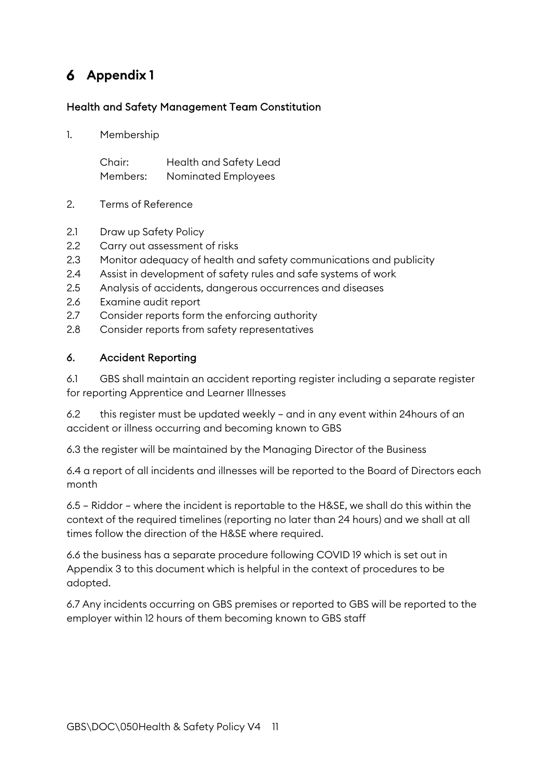# **Appendix 1**

#### Health and Safety Management Team Constitution

1. Membership

Chair: Health and Safety Lead Members: Nominated Employees

- 2. Terms of Reference
- 2.1 Draw up Safety Policy
- 2.2 Carry out assessment of risks
- 2.3 Monitor adequacy of health and safety communications and publicity
- 2.4 Assist in development of safety rules and safe systems of work
- 2.5 Analysis of accidents, dangerous occurrences and diseases
- 2.6 Examine audit report
- 2.7 Consider reports form the enforcing authority
- 2.8 Consider reports from safety representatives

#### 6. Accident Reporting

6.1 GBS shall maintain an accident reporting register including a separate register for reporting Apprentice and Learner Illnesses

6.2 this register must be updated weekly – and in any event within 24hours of an accident or illness occurring and becoming known to GBS

6.3 the register will be maintained by the Managing Director of the Business

6.4 a report of all incidents and illnesses will be reported to the Board of Directors each month

6.5 – Riddor – where the incident is reportable to the H&SE, we shall do this within the context of the required timelines (reporting no later than 24 hours) and we shall at all times follow the direction of the H&SE where required.

6.6 the business has a separate procedure following COVID 19 which is set out in Appendix 3 to this document which is helpful in the context of procedures to be adopted.

6.7 Any incidents occurring on GBS premises or reported to GBS will be reported to the employer within 12 hours of them becoming known to GBS staff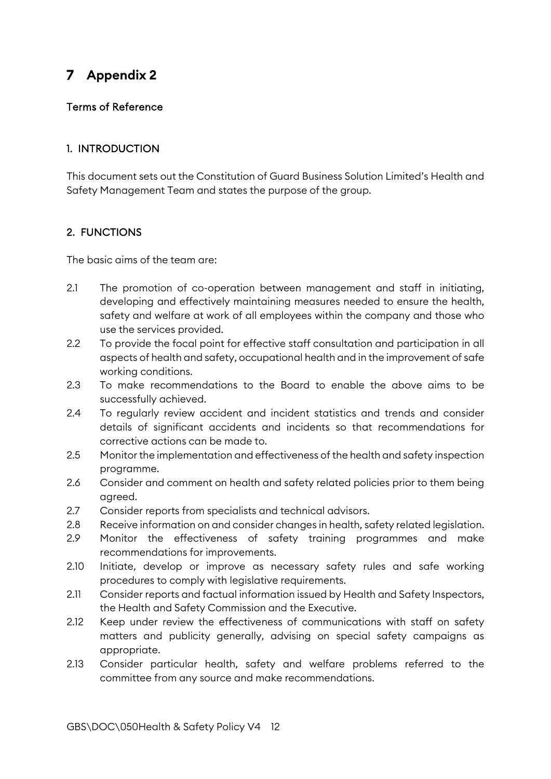# **Appendix 2**

#### Terms of Reference

#### 1. INTRODUCTION

This document sets out the Constitution of Guard Business Solution Limited's Health and Safety Management Team and states the purpose of the group.

#### 2. FUNCTIONS

The basic aims of the team are:

- 2.1 The promotion of co-operation between management and staff in initiating, developing and effectively maintaining measures needed to ensure the health, safety and welfare at work of all employees within the company and those who use the services provided.
- 2.2 To provide the focal point for effective staff consultation and participation in all aspects of health and safety, occupational health and in the improvement of safe working conditions.
- 2.3 To make recommendations to the Board to enable the above aims to be successfully achieved.
- 2.4 To regularly review accident and incident statistics and trends and consider details of significant accidents and incidents so that recommendations for corrective actions can be made to.
- 2.5 Monitor the implementation and effectiveness of the health and safety inspection programme.
- 2.6 Consider and comment on health and safety related policies prior to them being agreed.
- 2.7 Consider reports from specialists and technical advisors.
- 2.8 Receive information on and consider changes in health, safety related legislation.
- 2.9 Monitor the effectiveness of safety training programmes and make recommendations for improvements.
- 2.10 Initiate, develop or improve as necessary safety rules and safe working procedures to comply with legislative requirements.
- 2.11 Consider reports and factual information issued by Health and Safety Inspectors, the Health and Safety Commission and the Executive.
- 2.12 Keep under review the effectiveness of communications with staff on safety matters and publicity generally, advising on special safety campaigns as appropriate.
- 2.13 Consider particular health, safety and welfare problems referred to the committee from any source and make recommendations.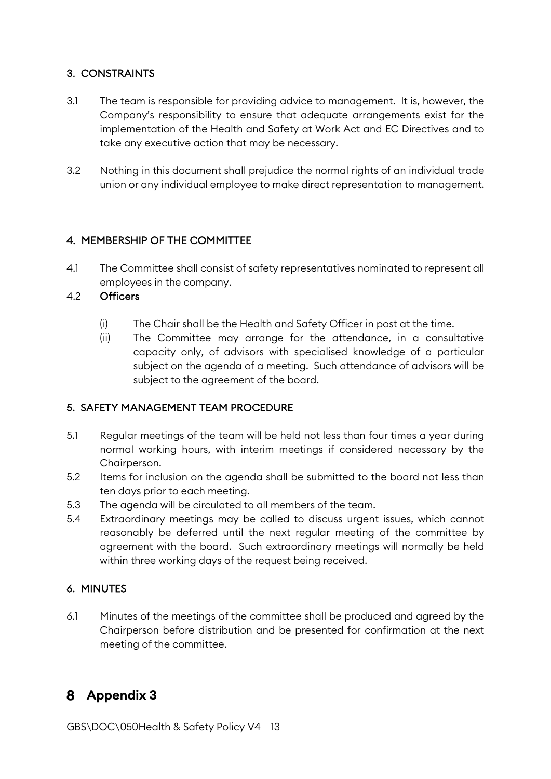#### 3. CONSTRAINTS

- 3.1 The team is responsible for providing advice to management. It is, however, the Company's responsibility to ensure that adequate arrangements exist for the implementation of the Health and Safety at Work Act and EC Directives and to take any executive action that may be necessary.
- 3.2 Nothing in this document shall prejudice the normal rights of an individual trade union or any individual employee to make direct representation to management.

#### 4. MEMBERSHIP OF THE COMMITTEE

4.1 The Committee shall consist of safety representatives nominated to represent all employees in the company.

#### 4.2 Officers

- (i) The Chair shall be the Health and Safety Officer in post at the time.
- (ii) The Committee may arrange for the attendance, in a consultative capacity only, of advisors with specialised knowledge of a particular subject on the agenda of a meeting. Such attendance of advisors will be subject to the agreement of the board.

#### 5. SAFETY MANAGEMENT TEAM PROCEDURE

- 5.1 Regular meetings of the team will be held not less than four times a year during normal working hours, with interim meetings if considered necessary by the Chairperson.
- 5.2 Items for inclusion on the agenda shall be submitted to the board not less than ten days prior to each meeting.
- 5.3 The agenda will be circulated to all members of the team.
- 5.4 Extraordinary meetings may be called to discuss urgent issues, which cannot reasonably be deferred until the next regular meeting of the committee by agreement with the board. Such extraordinary meetings will normally be held within three working days of the request being received.

#### 6. MINUTES

6.1 Minutes of the meetings of the committee shall be produced and agreed by the Chairperson before distribution and be presented for confirmation at the next meeting of the committee.

# **Appendix 3**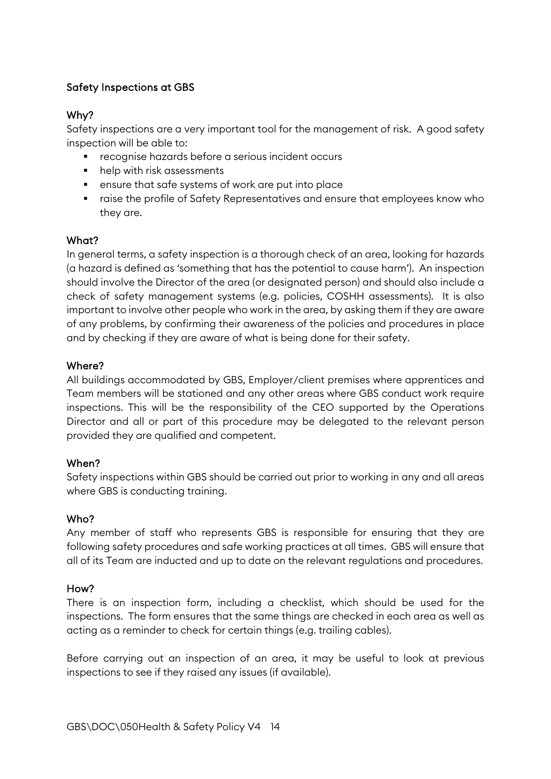#### Safety Inspections at GBS

#### Why?

Safety inspections are a very important tool for the management of risk. A good safety inspection will be able to:

- **•** recognise hazards before a serious incident occurs
- help with risk assessments
- ensure that safe systems of work are put into place
- raise the profile of Safety Representatives and ensure that employees know who they are.

#### What?

In general terms, a safety inspection is a thorough check of an area, looking for hazards (a hazard is defined as 'something that has the potential to cause harm'). An inspection should involve the Director of the area (or designated person) and should also include a check of safety management systems (e.g. policies, COSHH assessments). It is also important to involve other people who work in the area, by asking them if they are aware of any problems, by confirming their awareness of the policies and procedures in place and by checking if they are aware of what is being done for their safety.

#### Where?

All buildings accommodated by GBS, Employer/client premises where apprentices and Team members will be stationed and any other areas where GBS conduct work require inspections. This will be the responsibility of the CEO supported by the Operations Director and all or part of this procedure may be delegated to the relevant person provided they are qualified and competent.

#### When?

Safety inspections within GBS should be carried out prior to working in any and all areas where GBS is conducting training.

#### Who?

Any member of staff who represents GBS is responsible for ensuring that they are following safety procedures and safe working practices at all times. GBS will ensure that all of its Team are inducted and up to date on the relevant regulations and procedures.

#### How?

There is an inspection form, including a checklist, which should be used for the inspections. The form ensures that the same things are checked in each area as well as acting as a reminder to check for certain things (e.g. trailing cables).

Before carrying out an inspection of an area, it may be useful to look at previous inspections to see if they raised any issues (if available).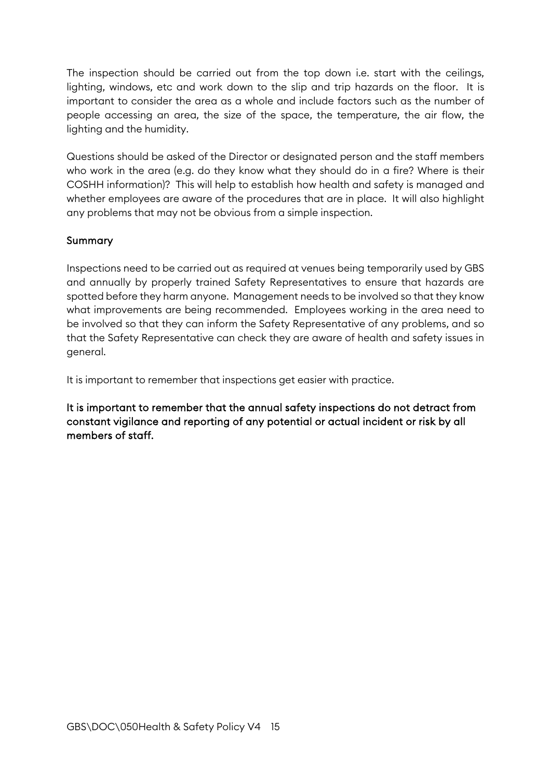The inspection should be carried out from the top down i.e. start with the ceilings, lighting, windows, etc and work down to the slip and trip hazards on the floor. It is important to consider the area as a whole and include factors such as the number of people accessing an area, the size of the space, the temperature, the air flow, the lighting and the humidity.

Questions should be asked of the Director or designated person and the staff members who work in the area (e.g. do they know what they should do in a fire? Where is their COSHH information)? This will help to establish how health and safety is managed and whether employees are aware of the procedures that are in place. It will also highlight any problems that may not be obvious from a simple inspection.

#### Summary

Inspections need to be carried out as required at venues being temporarily used by GBS and annually by properly trained Safety Representatives to ensure that hazards are spotted before they harm anyone. Management needs to be involved so that they know what improvements are being recommended. Employees working in the area need to be involved so that they can inform the Safety Representative of any problems, and so that the Safety Representative can check they are aware of health and safety issues in general.

It is important to remember that inspections get easier with practice.

It is important to remember that the annual safety inspections do not detract from constant vigilance and reporting of any potential or actual incident or risk by all members of staff.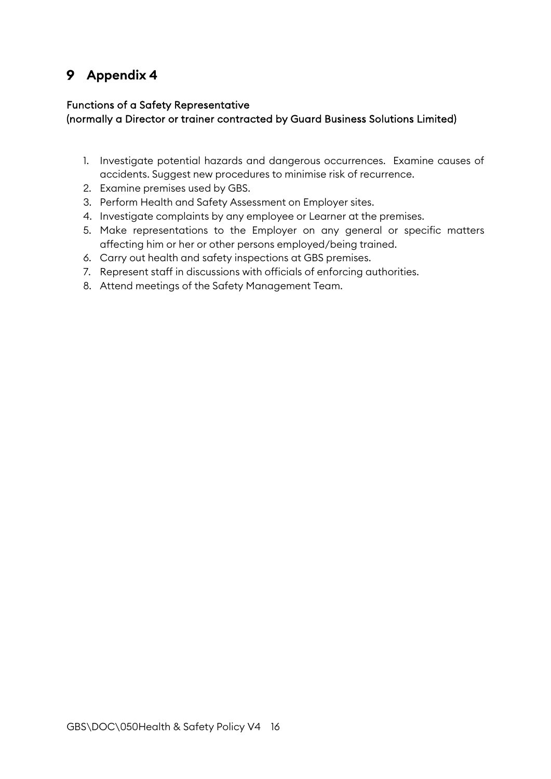# **Appendix 4**

#### Functions of a Safety Representative (normally a Director or trainer contracted by Guard Business Solutions Limited)

- 1. Investigate potential hazards and dangerous occurrences. Examine causes of accidents. Suggest new procedures to minimise risk of recurrence.
- 2. Examine premises used by GBS.
- 3. Perform Health and Safety Assessment on Employer sites.
- 4. Investigate complaints by any employee or Learner at the premises.
- 5. Make representations to the Employer on any general or specific matters affecting him or her or other persons employed/being trained.
- 6. Carry out health and safety inspections at GBS premises.
- 7. Represent staff in discussions with officials of enforcing authorities.
- 8. Attend meetings of the Safety Management Team.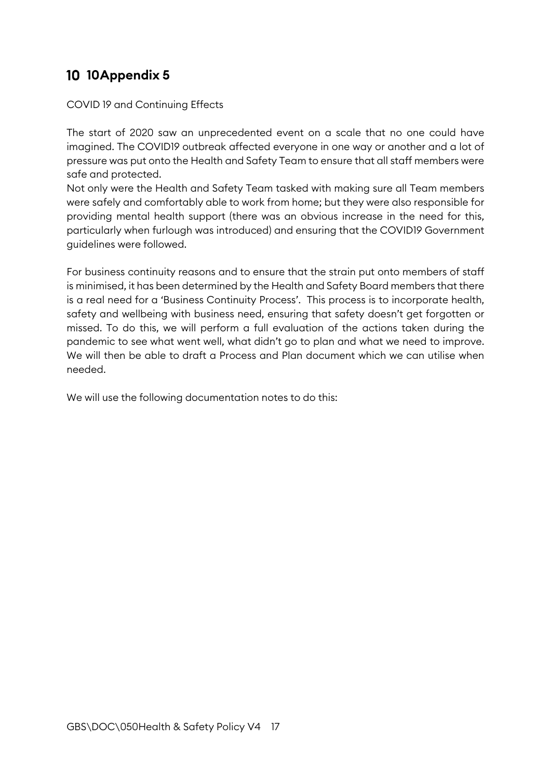# **10 10 Appendix 5**

COVID 19 and Continuing Effects

The start of 2020 saw an unprecedented event on a scale that no one could have imagined. The COVID19 outbreak affected everyone in one way or another and a lot of pressure was put onto the Health and Safety Team to ensure that all staff members were safe and protected.

Not only were the Health and Safety Team tasked with making sure all Team members were safely and comfortably able to work from home; but they were also responsible for providing mental health support (there was an obvious increase in the need for this, particularly when furlough was introduced) and ensuring that the COVID19 Government guidelines were followed.

For business continuity reasons and to ensure that the strain put onto members of staff is minimised, it has been determined by the Health and Safety Board members that there is a real need for a 'Business Continuity Process'. This process is to incorporate health, safety and wellbeing with business need, ensuring that safety doesn't get forgotten or missed. To do this, we will perform a full evaluation of the actions taken during the pandemic to see what went well, what didn't go to plan and what we need to improve. We will then be able to draft a Process and Plan document which we can utilise when needed.

We will use the following documentation notes to do this: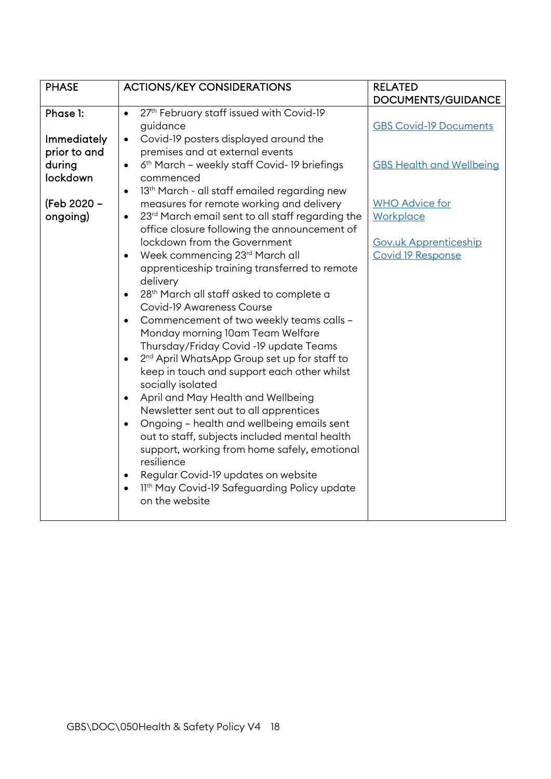| Phase 1:<br>$\bullet$                                                                                                            | 27th February staff issued with Covid-19                                                                                                                                                                                                                                                                                                                                                                                                                                                                                                                                                                                                                                                                     | DOCUMENTS/GUIDANCE                                                                                                                                                        |
|----------------------------------------------------------------------------------------------------------------------------------|--------------------------------------------------------------------------------------------------------------------------------------------------------------------------------------------------------------------------------------------------------------------------------------------------------------------------------------------------------------------------------------------------------------------------------------------------------------------------------------------------------------------------------------------------------------------------------------------------------------------------------------------------------------------------------------------------------------|---------------------------------------------------------------------------------------------------------------------------------------------------------------------------|
|                                                                                                                                  |                                                                                                                                                                                                                                                                                                                                                                                                                                                                                                                                                                                                                                                                                                              |                                                                                                                                                                           |
| Immediately<br>$\bullet$<br>prior to and<br>during<br>lockdown<br>(Feb 2020 -<br>ongoing)<br>$\bullet$<br>$\bullet$<br>$\bullet$ | <b>ACTIONS/KEY CONSIDERATIONS</b><br>guidance<br>Covid-19 posters displayed around the<br>premises and at external events<br>6th March - weekly staff Covid-19 briefings<br>commenced<br>13 <sup>th</sup> March - all staff emailed regarding new<br>measures for remote working and delivery<br>23rd March email sent to all staff regarding the<br>office closure following the announcement of<br>lockdown from the Government<br>Week commencing 23rd March all<br>apprenticeship training transferred to remote<br>delivery<br>28 <sup>th</sup> March all staff asked to complete a<br><b>Covid-19 Awareness Course</b><br>Commencement of two weekly teams calls -<br>Monday morning 10am Team Welfare | <b>GBS Covid-19 Documents</b><br><b>GBS Health and Wellbeing</b><br><b>WHO Advice for</b><br><b>Workplace</b><br><b>Gov.uk Apprenticeship</b><br><b>Covid 19 Response</b> |
| $\bullet$<br>$\bullet$                                                                                                           | Thursday/Friday Covid -19 update Teams<br>2 <sup>nd</sup> April WhatsApp Group set up for staff to<br>keep in touch and support each other whilst<br>socially isolated<br>April and May Health and Wellbeing                                                                                                                                                                                                                                                                                                                                                                                                                                                                                                 |                                                                                                                                                                           |
| $\bullet$<br>$\bullet$<br>$\bullet$                                                                                              | Newsletter sent out to all apprentices<br>Ongoing - health and wellbeing emails sent<br>out to staff, subjects included mental health<br>support, working from home safely, emotional<br>resilience<br>Regular Covid-19 updates on website<br>11th May Covid-19 Safeguarding Policy update<br>on the website                                                                                                                                                                                                                                                                                                                                                                                                 |                                                                                                                                                                           |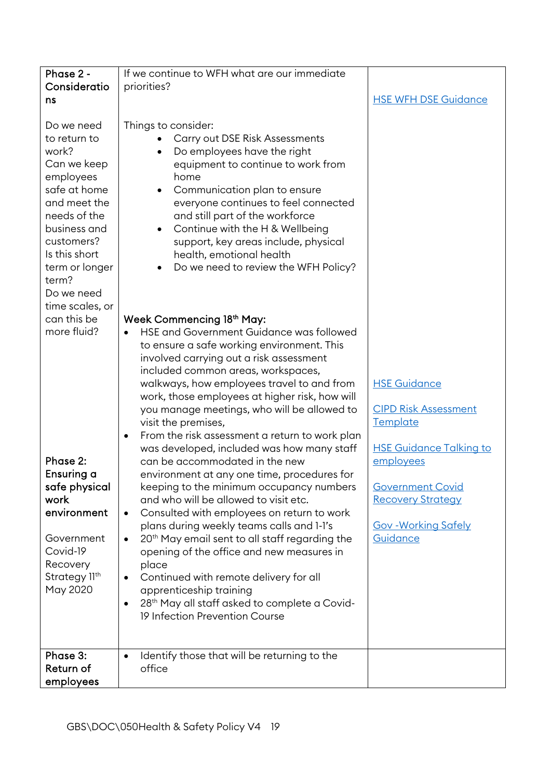| Phase 2 -                                                                                                                                                                                                                  | If we continue to WFH what are our immediate                                                                                                                                                                                                                                                                                                                                                                                                                                                                                                                                                                                                                       |                                                                                                                                               |
|----------------------------------------------------------------------------------------------------------------------------------------------------------------------------------------------------------------------------|--------------------------------------------------------------------------------------------------------------------------------------------------------------------------------------------------------------------------------------------------------------------------------------------------------------------------------------------------------------------------------------------------------------------------------------------------------------------------------------------------------------------------------------------------------------------------------------------------------------------------------------------------------------------|-----------------------------------------------------------------------------------------------------------------------------------------------|
| Consideratio                                                                                                                                                                                                               | priorities?                                                                                                                                                                                                                                                                                                                                                                                                                                                                                                                                                                                                                                                        |                                                                                                                                               |
| ns                                                                                                                                                                                                                         |                                                                                                                                                                                                                                                                                                                                                                                                                                                                                                                                                                                                                                                                    | <b>HSE WFH DSE Guidance</b>                                                                                                                   |
| Do we need<br>to return to<br>work?<br>Can we keep<br>employees<br>safe at home<br>and meet the<br>needs of the<br>business and<br>customers?<br>Is this short<br>term or longer<br>term?<br>Do we need<br>time scales, or | Things to consider:<br>Carry out DSE Risk Assessments<br>Do employees have the right<br>equipment to continue to work from<br>home<br>Communication plan to ensure<br>everyone continues to feel connected<br>and still part of the workforce<br>Continue with the H & Wellbeing<br>support, key areas include, physical<br>health, emotional health<br>Do we need to review the WFH Policy?                                                                                                                                                                                                                                                                       |                                                                                                                                               |
| can this be                                                                                                                                                                                                                | Week Commencing 18th May:                                                                                                                                                                                                                                                                                                                                                                                                                                                                                                                                                                                                                                          |                                                                                                                                               |
| more fluid?                                                                                                                                                                                                                | HSE and Government Guidance was followed<br>to ensure a safe working environment. This<br>involved carrying out a risk assessment<br>included common areas, workspaces,<br>walkways, how employees travel to and from<br>work, those employees at higher risk, how will<br>you manage meetings, who will be allowed to<br>visit the premises,                                                                                                                                                                                                                                                                                                                      | <b>HSE Guidance</b><br><b>CIPD Risk Assessment</b><br>Template                                                                                |
| Phase 2:<br>Ensuring a<br>safe physical<br>work<br>environment<br>Government<br>Covid-19<br>Recovery<br>Strategy 11th<br>May 2020                                                                                          | From the risk assessment a return to work plan<br>$\bullet$<br>was developed, included was how many staff<br>can be accommodated in the new<br>environment at any one time, procedures for<br>keeping to the minimum occupancy numbers<br>and who will be allowed to visit etc.<br>Consulted with employees on return to work<br>plans during weekly teams calls and 1-1's<br>20 <sup>th</sup> May email sent to all staff regarding the<br>opening of the office and new measures in<br>place<br>Continued with remote delivery for all<br>apprenticeship training<br>28 <sup>th</sup> May all staff asked to complete a Covid-<br>19 Infection Prevention Course | <b>HSE Guidance Talking to</b><br>employees<br><b>Government Covid</b><br><b>Recovery Strategy</b><br><b>Gov - Working Safely</b><br>Guidance |
| Phase 3:<br>Return of<br>employees                                                                                                                                                                                         | Identify those that will be returning to the<br>office                                                                                                                                                                                                                                                                                                                                                                                                                                                                                                                                                                                                             |                                                                                                                                               |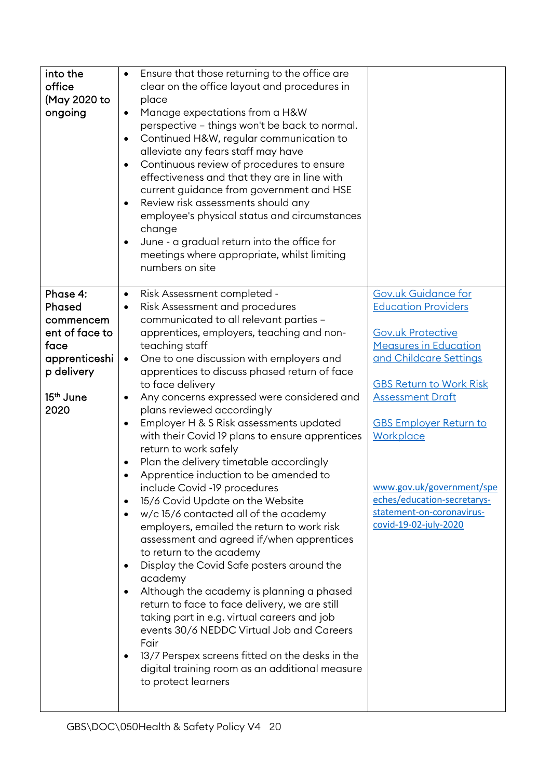| into the<br>office<br>(May 2020 to<br>ongoing                                                                             | Ensure that those returning to the office are<br>clear on the office layout and procedures in<br>place<br>Manage expectations from a H&W<br>$\bullet$<br>perspective - things won't be back to normal.<br>Continued H&W, regular communication to<br>$\bullet$<br>alleviate any fears staff may have<br>Continuous review of procedures to ensure<br>$\bullet$<br>effectiveness and that they are in line with<br>current guidance from government and HSE<br>Review risk assessments should any<br>employee's physical status and circumstances<br>change<br>June - a gradual return into the office for<br>meetings where appropriate, whilst limiting<br>numbers on site                                                                                                                                                                                                                                                                                                                                                                                                                                                                                                                                                                                                   |                                                                                                                                                                                                                                                                                                                                                                             |
|---------------------------------------------------------------------------------------------------------------------------|-------------------------------------------------------------------------------------------------------------------------------------------------------------------------------------------------------------------------------------------------------------------------------------------------------------------------------------------------------------------------------------------------------------------------------------------------------------------------------------------------------------------------------------------------------------------------------------------------------------------------------------------------------------------------------------------------------------------------------------------------------------------------------------------------------------------------------------------------------------------------------------------------------------------------------------------------------------------------------------------------------------------------------------------------------------------------------------------------------------------------------------------------------------------------------------------------------------------------------------------------------------------------------|-----------------------------------------------------------------------------------------------------------------------------------------------------------------------------------------------------------------------------------------------------------------------------------------------------------------------------------------------------------------------------|
| Phase 4:<br>Phased<br>commencem<br>ent of face to<br>face<br>apprenticeshi<br>p delivery<br>15 <sup>th</sup> June<br>2020 | Risk Assessment completed -<br>$\bullet$<br>Risk Assessment and procedures<br>$\bullet$<br>communicated to all relevant parties -<br>apprentices, employers, teaching and non-<br>teaching staff<br>One to one discussion with employers and<br>apprentices to discuss phased return of face<br>to face delivery<br>Any concerns expressed were considered and<br>plans reviewed accordingly<br>Employer H & S Risk assessments updated<br>$\bullet$<br>with their Covid 19 plans to ensure apprentices<br>return to work safely<br>Plan the delivery timetable accordingly<br>Apprentice induction to be amended to<br>include Covid -19 procedures<br>15/6 Covid Update on the Website<br>$\bullet$<br>w/c 15/6 contacted all of the academy<br>employers, emailed the return to work risk<br>assessment and agreed if/when apprentices<br>to return to the academy<br>Display the Covid Safe posters around the<br>٠<br>academy<br>Although the academy is planning a phased<br>return to face to face delivery, we are still<br>taking part in e.g. virtual careers and job<br>events 30/6 NEDDC Virtual Job and Careers<br>Fair<br>13/7 Perspex screens fitted on the desks in the<br>$\bullet$<br>digital training room as an additional measure<br>to protect learners | <b>Gov.uk Guidance for</b><br><b>Education Providers</b><br><b>Gov.uk Protective</b><br><b>Measures in Education</b><br>and Childcare Settings<br><b>GBS Return to Work Risk</b><br><b>Assessment Draft</b><br><b>GBS Employer Return to</b><br>Workplace<br>www.gov.uk/government/spe<br>eches/education-secretarys-<br>statement-on-coronavirus-<br>covid-19-02-july-2020 |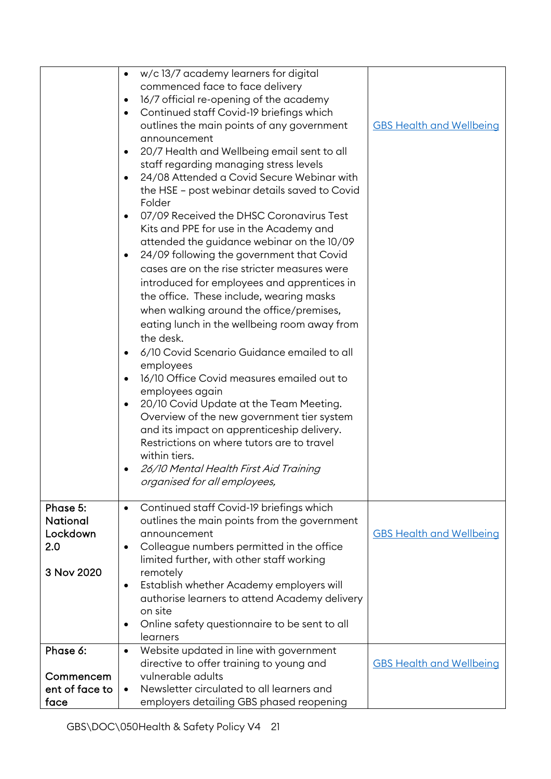|                                                | w/c 13/7 academy learners for digital<br>$\bullet$<br>commenced face to face delivery<br>16/7 official re-opening of the academy<br>$\bullet$<br>Continued staff Covid-19 briefings which<br>$\bullet$<br>outlines the main points of any government<br>announcement<br>20/7 Health and Wellbeing email sent to all<br>$\bullet$<br>staff regarding managing stress levels<br>24/08 Attended a Covid Secure Webinar with<br>$\bullet$<br>the HSE - post webinar details saved to Covid<br>Folder<br>07/09 Received the DHSC Coronavirus Test<br>$\bullet$<br>Kits and PPE for use in the Academy and<br>attended the guidance webinar on the 10/09<br>24/09 following the government that Covid<br>٠<br>cases are on the rise stricter measures were<br>introduced for employees and apprentices in<br>the office. These include, wearing masks<br>when walking around the office/premises,<br>eating lunch in the wellbeing room away from<br>the desk.<br>6/10 Covid Scenario Guidance emailed to all<br>employees<br>16/10 Office Covid measures emailed out to<br>$\bullet$<br>employees again<br>20/10 Covid Update at the Team Meeting.<br>٠<br>Overview of the new government tier system<br>and its impact on apprenticeship delivery.<br>Restrictions on where tutors are to travel<br>within tiers.<br>26/10 Mental Health First Aid Training<br>organised for all employees, | <b>GBS Health and Wellbeing</b> |
|------------------------------------------------|-----------------------------------------------------------------------------------------------------------------------------------------------------------------------------------------------------------------------------------------------------------------------------------------------------------------------------------------------------------------------------------------------------------------------------------------------------------------------------------------------------------------------------------------------------------------------------------------------------------------------------------------------------------------------------------------------------------------------------------------------------------------------------------------------------------------------------------------------------------------------------------------------------------------------------------------------------------------------------------------------------------------------------------------------------------------------------------------------------------------------------------------------------------------------------------------------------------------------------------------------------------------------------------------------------------------------------------------------------------------------------------------|---------------------------------|
| Phase 5:<br><b>National</b><br>Lockdown<br>2.0 | Continued staff Covid-19 briefings which<br>$\bullet$<br>outlines the main points from the government<br>announcement<br>Colleague numbers permitted in the office<br>$\bullet$<br>limited further, with other staff working                                                                                                                                                                                                                                                                                                                                                                                                                                                                                                                                                                                                                                                                                                                                                                                                                                                                                                                                                                                                                                                                                                                                                            | <b>GBS Health and Wellbeing</b> |
| 3 Nov 2020                                     | remotely<br>Establish whether Academy employers will<br>$\bullet$<br>authorise learners to attend Academy delivery<br>on site<br>Online safety questionnaire to be sent to all<br>$\bullet$<br>learners                                                                                                                                                                                                                                                                                                                                                                                                                                                                                                                                                                                                                                                                                                                                                                                                                                                                                                                                                                                                                                                                                                                                                                                 |                                 |
| Phase 6:                                       | Website updated in line with government<br>$\bullet$                                                                                                                                                                                                                                                                                                                                                                                                                                                                                                                                                                                                                                                                                                                                                                                                                                                                                                                                                                                                                                                                                                                                                                                                                                                                                                                                    |                                 |
|                                                | directive to offer training to young and                                                                                                                                                                                                                                                                                                                                                                                                                                                                                                                                                                                                                                                                                                                                                                                                                                                                                                                                                                                                                                                                                                                                                                                                                                                                                                                                                | <b>GBS Health and Wellbeing</b> |
| Commencem                                      | vulnerable adults                                                                                                                                                                                                                                                                                                                                                                                                                                                                                                                                                                                                                                                                                                                                                                                                                                                                                                                                                                                                                                                                                                                                                                                                                                                                                                                                                                       |                                 |
| ent of face to                                 | Newsletter circulated to all learners and<br>$\bullet$                                                                                                                                                                                                                                                                                                                                                                                                                                                                                                                                                                                                                                                                                                                                                                                                                                                                                                                                                                                                                                                                                                                                                                                                                                                                                                                                  |                                 |
| face                                           | employers detailing GBS phased reopening                                                                                                                                                                                                                                                                                                                                                                                                                                                                                                                                                                                                                                                                                                                                                                                                                                                                                                                                                                                                                                                                                                                                                                                                                                                                                                                                                |                                 |